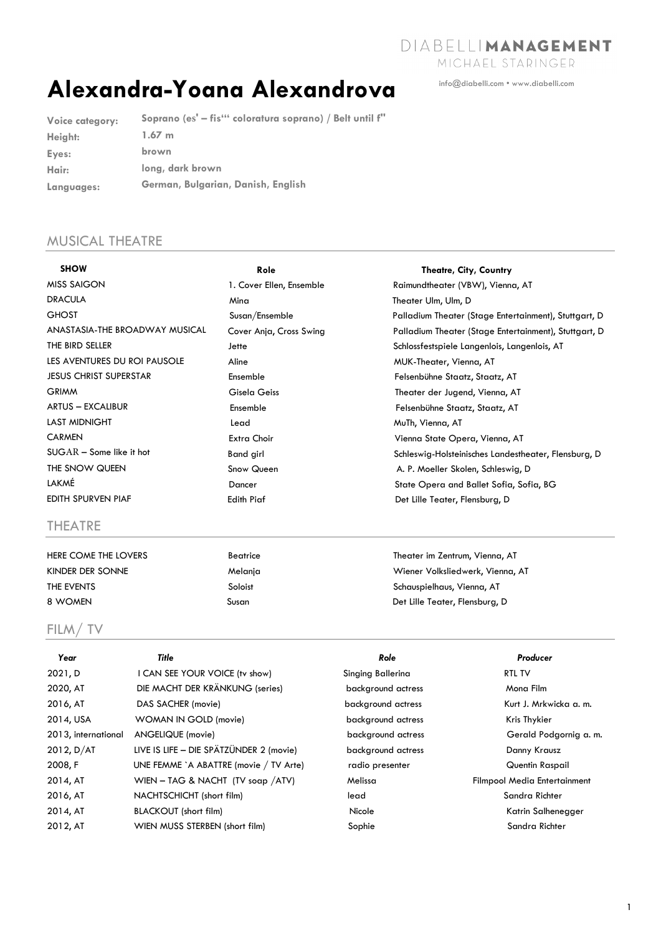DIABELLIMANAGEMENT

info@diabelli.com • www.diabelli.com

MICHAEL STARINGER

# **Alexandra-Yoana Alexandrova**

**Voice category: Height: Eyes: Hair: Languages: Soprano (es' – fis''' coloratura soprano) / Belt until f'' 1.67 m brown long, dark brown German, Bulgarian, Danish, English** 

## MUSICAL THEATRE

| <b>SHOW</b>                    | Role                     | <b>Theatre, City, Country</b>                         |
|--------------------------------|--------------------------|-------------------------------------------------------|
| <b>MISS SAIGON</b>             | 1. Cover Ellen, Ensemble | Raimundtheater (VBW), Vienna, AT                      |
| <b>DRACULA</b>                 | Mina                     | Theater Ulm, Ulm, D                                   |
| <b>GHOST</b>                   | Susan/Ensemble           | Palladium Theater (Stage Entertainment), Stuttgart, D |
| ANASTASIA-THE BROADWAY MUSICAL | Cover Anja, Cross Swing  | Palladium Theater (Stage Entertainment), Stuttgart, D |
| THE BIRD SELLER                | Jette                    | Schlossfestspiele Langenlois, Langenlois, AT          |
| LES AVENTURES DU ROI PAUSOLE   | Aline                    | MUK-Theater, Vienna, AT                               |
| <b>JESUS CHRIST SUPERSTAR</b>  | Ensemble                 | Felsenbühne Staatz, Staatz, AT                        |
| <b>GRIMM</b>                   | Gisela Geiss             | Theater der Jugend, Vienna, AT                        |
| <b>ARTUS - EXCALIBUR</b>       | Ensemble                 | Felsenbühne Staatz, Staatz, AT                        |
| <b>LAST MIDNIGHT</b>           | Lead                     | MuTh, Vienna, AT                                      |
| <b>CARMEN</b>                  | Extra Choir              | Vienna State Opera, Vienna, AT                        |
| $SUGAR - Some like it hot$     | <b>Band girl</b>         | Schleswig-Holsteinisches Landestheater, Flensburg, D  |
| THE SNOW QUEEN                 | Snow Queen               | A. P. Moeller Skolen, Schleswig, D.                   |
| <b>LAKMÉ</b>                   | Dancer                   | State Opera and Ballet Sofia, Sofia, BG               |
| EDITH SPURVEN PIAF             | <b>Edith Piaf</b>        | Det Lille Teater, Flensburg, D                        |
| <b>THEATRE</b>                 |                          |                                                       |

HERE COME THE LOVERS Beatrice Beatrice Theater im Zentrum, Vienna, AT

### FILM/ TV

| Beatrice |
|----------|
| Melanja  |
| Soloist  |
| susan    |

KINDER DER SONNE Melanja Melang Melang Melang Melang Melang Melang Melang Melang Melang Melang Melang Melang M THE EVENTS Soloist Schauspielhaus, Vienna, AT 8 WOMEN Susan Susan Det Lille Teater, Flensburg, Dunch Susan Susan Det Lille Teater, Flensburg, D

| Year                | Title                                   | Role               | Producer                            |
|---------------------|-----------------------------------------|--------------------|-------------------------------------|
| 2021, D             | I CAN SEE YOUR VOICE (tv show)          | Singing Ballerina  | RTL TV                              |
| 2020, AT            | DIE MACHT DER KRÄNKUNG (series)         | background actress | Mona Film                           |
| 2016, AT            | DAS SACHER (movie)                      | background actress | Kurt J. Mrkwicka a. m.              |
| 2014, USA           | WOMAN IN GOLD (movie)                   | background actress | Kris Thykier                        |
| 2013, international | ANGELIQUE (movie)                       | background actress | Gerald Podgornig a.m.               |
| 2012, D/AT          | LIVE IS LIFE - DIE SPÄTZÜNDER 2 (movie) | background actress | Danny Krausz                        |
| 2008, F             | UNE FEMME `A ABATTRE (movie / TV Arte)  | radio presenter    | Quentin Raspail                     |
| 2014, AT            | WIEN – TAG & NACHT (TV soap $/$ ATV)    | Melissa            | <b>Filmpool Media Entertainment</b> |
| 2016, AT            | NACHTSCHICHT (short film)               | lead               | Sandra Richter                      |
| 2014, AT            | <b>BLACKOUT</b> (short film)            | Nicole             | Katrin Salhenegger                  |
| 2012, AT            | WIEN MUSS STERBEN (short film)          | Sophie             | Sandra Richter                      |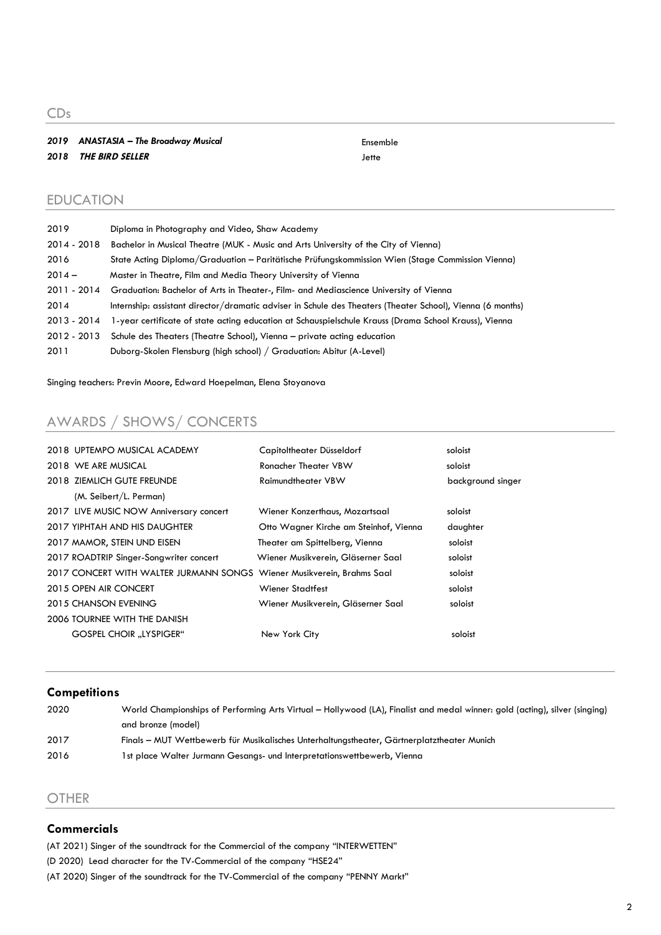CDs

#### *2019 ANASTASIA – The Broadway Musical* Ensemble *2018* **THE BIRD SELLER** Jette

#### EDUCATION

| 2019        | Diploma in Photography and Video, Shaw Academy                                                             |
|-------------|------------------------------------------------------------------------------------------------------------|
| 2014 - 2018 | Bachelor in Musical Theatre (MUK - Music and Arts University of the City of Vienna)                        |
| 2016        | State Acting Diploma/Graduation - Paritätische Prüfungskommission Wien (Stage Commission Vienna)           |
| $2014 -$    | Master in Theatre, Film and Media Theory University of Vienna                                              |
| 2011 - 2014 | Graduation: Bachelor of Arts in Theater-, Film- and Mediascience University of Vienna                      |
| 2014        | Internship: assistant director/dramatic adviser in Schule des Theaters (Theater School), Vienna (6 months) |
| 2013 - 2014 | 1-year certificate of state acting education at Schauspielschule Krauss (Drama School Krauss), Vienna      |
| 2012 - 2013 | Schule des Theaters (Theatre School), Vienna – private acting education                                    |
| 2011        | Duborg-Skolen Flensburg (high school) / Graduation: Abitur (A-Level)                                       |

Singing teachers: Previn Moore, Edward Hoepelman, Elena Stoyanova

# AWARDS / SHOWS/ CONCERTS

| 2018 UPTEMPO MUSICAL ACADEMY            | Capitoltheater Düsseldorf              | soloist           |
|-----------------------------------------|----------------------------------------|-------------------|
| 2018 WE ARE MUSICAL                     | Ronacher Theater VBW                   | soloist           |
| 2018 ZIEMLICH GUTE FREUNDE              | <b>Raimundtheater VBW</b>              | background singer |
| (M. Seibert/L. Perman)                  |                                        |                   |
| 2017 LIVE MUSIC NOW Anniversary concert | Wiener Konzerthaus, Mozartsaal         | soloist           |
| 2017 YIPHTAH AND HIS DAUGHTER           | Otto Wagner Kirche am Steinhof, Vienna | daughter          |
| 2017 MAMOR, STEIN UND EISEN             | Theater am Spittelberg, Vienna         | soloist           |
| 2017 ROADTRIP Singer-Songwriter concert | Wiener Musikverein, Gläserner Saal     | soloist           |
| 2017 CONCERT WITH WALTER JURMANN SONGS  | Wiener Musikverein, Brahms Saal        | soloist           |
| 2015 OPEN AIR CONCERT                   | <b>Wiener Stadtfest</b>                | soloist           |
| 2015 CHANSON EVENING                    | Wiener Musikverein, Gläserner Saal     | soloist           |
| 2006 TOURNEE WITH THE DANISH            |                                        |                   |
| <b>GOSPEL CHOIR "LYSPIGER"</b>          | New York City                          | soloist           |
|                                         |                                        |                   |

#### **Competitions**

| 2020 | World Championships of Performing Arts Virtual – Hollywood (LA), Finalist and medal winner: gold (acting), silver (singing) |
|------|-----------------------------------------------------------------------------------------------------------------------------|
|      | and bronze (model)                                                                                                          |
| 2017 | Finals – MUT Wettbewerb für Musikalisches Unterhaltungstheater, Gärtnerplatztheater Munich                                  |
| 2016 | 1st place Walter Jurmann Gesangs- und Interpretationswettbewerb, Vienna                                                     |

#### **OTHER**

#### **Commercials**

(AT 2021) Singer of the soundtrack for the Commercial of the company "INTERWETTEN" (D 2020) Lead character for the TV-Commercial of the company "HSE24" (AT 2020) Singer of the soundtrack for the TV-Commercial of the company "PENNY Markt"